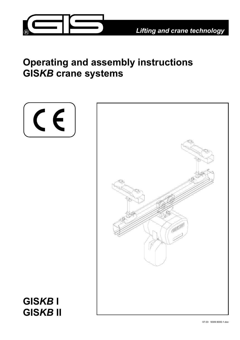

# **Operating and assembly instructions GIS***KB* **crane systems**





**GIS***KB* **I GIS***KB* **II**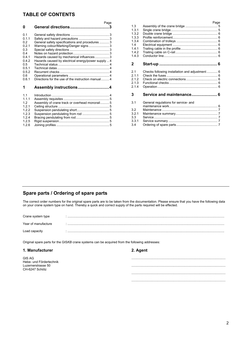### **TABLE OF CONTENTS**

|                       | Page                                               |
|-----------------------|----------------------------------------------------|
| O                     |                                                    |
|                       |                                                    |
| 0 <sub>1</sub>        |                                                    |
| 011                   |                                                    |
| 0.2                   | General safety specifications and procedures  3    |
| 021                   | Warning colour/Marking/Danger signs 3              |
| 0.3                   |                                                    |
| 04                    |                                                    |
| 041                   | Hazards caused by mechanical influences3           |
| 042                   | Hazards caused by electrical energy/power supply 4 |
| 0.5<br>0.5.1          |                                                    |
| 0.5.2                 |                                                    |
| 0.6                   |                                                    |
| 061                   | Directions for the use of the instruction manual4  |
|                       |                                                    |
| 1                     | Assembly instructions4                             |
|                       |                                                    |
| 1 <sub>1</sub><br>111 |                                                    |
| 12                    | Assembly of crane track or overhead monorail 5     |
| 1.2.1                 |                                                    |
| 122                   |                                                    |
| 123                   |                                                    |
| 124                   |                                                    |
| 125                   |                                                    |
| 1.2.6                 |                                                    |

| 1.3            |                                                 | Page |
|----------------|-------------------------------------------------|------|
| 131            |                                                 |      |
| 1.3.2          |                                                 |      |
| 133            |                                                 |      |
| 1.3.4          |                                                 |      |
| 14             |                                                 |      |
| 141            |                                                 |      |
| 1.4.2<br>1.4.3 |                                                 |      |
|                |                                                 |      |
| 2              |                                                 |      |
|                |                                                 |      |
| 21             | Checks following installation and adjustment  6 |      |
| 211            |                                                 |      |
| 212            |                                                 |      |
| 213            |                                                 |      |
| 214            |                                                 |      |
| 3              | Service and maintenance 6                       |      |
|                |                                                 |      |
| 3.1            | General regulations for service- and            |      |
|                |                                                 |      |
| 32             |                                                 |      |
| 3.2.1          |                                                 |      |
| 3.3            |                                                 |      |
| 3.3.1          |                                                 |      |
| 3.4            |                                                 |      |

### **Spare parts / Ordering of spare parts**

The correct order numbers for the original spare parts are to be taken from the documentation. Please ensure that you have the following data on your crane system type on hand. Thereby a quick and correct supply of the parts required will be effected.

| Crane system type   |  |
|---------------------|--|
| Year of manufacture |  |
| Load capacity       |  |

Original spare parts for the GIS*KB* crane systems can be acquired from the following addresses:

| 1. Manufacturer                          | 2. Agent |
|------------------------------------------|----------|
| <b>GIS AG</b><br>Hebe- und Fördertechnik |          |
| Luzernerstrasse 50<br>CH-6247 Schötz     |          |
|                                          |          |
|                                          |          |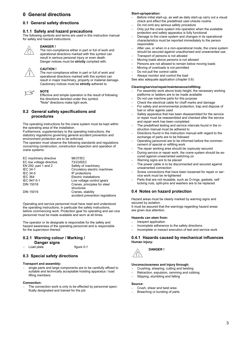### **0 General directions**

#### **0.1 General safety directions**

#### **0.1.1 Safety and hazard precautions**

The following symbols and terms are used in this instruction manual for safety and hazard instructions:



### **DANGER !**

The non-compliance either in part or full of work and operational directions marked with this symbol can result in serious personal injury or even death. Danger notices must be **strictly** complied with.



#### **CAUTION !**

The non-compliance either in part or full of work and operational directions marked with this symbol can result in major machinery, property or material damage. Cautionary notices must be **strictly** adhered to.



Effective and simple operation is the result of following the directions denoted under this symbol. "Note" directions make light work.

#### **0.2 General safety specifications and procedures**

The operating instructions for the crane system must be kept within the operating area of the installation.

Furthermore, supplementary to the operating instructions, the statutory regulations governing general accident prevention and environment protection are to be enforced.

The operator must observe the following standards and regulations concerning construction, construction inspection and operation of crane systems:

| EC machinery directive   | 98/37/EC                        |
|--------------------------|---------------------------------|
| EC low voltage directive | 73/23/EEC                       |
| EN 292, part 1 and 2     | Safety of machinery             |
| <b>IEC 34-1</b>          | Circulatory electric machines   |
| IEC 34-5                 | IP protections                  |
| <b>IEC 364</b>           | Electric installations          |
| IEC 947-5-1              | Low voltage control gears       |
| <b>DIN 15018</b>         | Cranes, principles for steel    |
|                          | structures                      |
| <b>DIN 15019</b>         | Cranes, stability               |
|                          | accident prevention regulations |

Operating and service personnel must have read and understood the operating instructions, in particular the safety instructions, before commencing work. Protection gear for operating and ser-vice personnel must be made available and worn at all times.

The operator or its designate is responsible for the safety and hazard awareness of the operating personnel and is responsible for the supervision thereof.

### **0.2.1 Warning colour / Marking /**

**Danger signs**  − Load plate figure 0-1

#### **0.3 Special safety directions**

#### **Transport and assembly:**

single parts and large components are to be carefully affixed to suitable and technically acceptable hoisting apparatus / load lifting members

#### **Connection:**

The connection work is only to be effected by personnel specifically designated and trained for the job

#### **Start-up/operation:**

- Before initial start-up, as well as daily start-up carry out a visual check and effect the predefined user-checks routine
- Do not omit any serious safety procedure
- Only put the crane system into operation when the available protection and safety apparatus is fully functional
- − Damage to the crane system and changes in its operational characteristics must be reported immediately to the person responsible
- After use, or when in a non-operational mode, the crane system should be secured against unauthorised and unwarranted use
- − Transport of persons is not allowed
- − Moving loads above persons is not allowed
- Persons are not allowed to remain below moving loads
- − Moving of overloads is not permitted
- Do not pull the control cable
- − Always monitor and control the load See also adequate application (chapter 0.6)

#### **Cleaning/service/repair/maintenance/refitting:**

- For assembly work above body height, the necessary working platforms or ladders are to be made available
- Do not use machine parts for this purpose
- − Check the electrical cable for chaff marks and damage
- For safety and environmental protection, trap and dispose of fuel or other agents used
- Safety apparatus that has been disassembled for the service or repair must be reassembled and checked after the service and repair work has been completed
- The predefined testing and service intervals found in the instruction manual must be adhered to
- Directions found in the instruction manual with regard to the exchange of parts are to be followed
- − Operating personnel are to be informed before the commencement of special or refitting work
- − The repair working area should be copiously secured
- − During service or repair work, the crane system should be secured against unwarranted switching on
- Warning signs are to be placed
- The power cable is to be disconnected and secured against unwarranted connection
- − Screw connections that have been loosened for repair or service work must be re-tightened
- Parts that are not reusable, such as O-rings, gaskets, self locking nuts, split-pins and washers are to be replaced

### **0.4 Notes on hazard protection**

Hazard areas must be clearly marked by warning signs and secured by isolation.

It must be assured that the warnings regarding hazard areas are given due attention.

#### **Hazards can stem from:**

- − Inexpert application
- − Incomplete adherence to the safety directions
- Incomplete or inexact execution of test and service work

#### **0.4.1 Hazards caused by mechanical influences Human injury:**



#### **Unconsciousness and injury through:**

- − Crushing, shearing, cutting and twisting
- − Retraction, expulsion, ramming and rubbing
- Slipping, stumbling and falling

#### **Source:**

- − Crush, shear and twist area
- Breaching or bursting of parts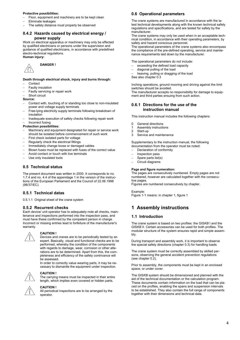#### **Protective possibilities:**

- Floor, equipment and machinery are to be kept clean
- − Eliminate leakages
- The safety distance must properly be observed

#### **0.4.2 Hazards caused by electrical energy / power supply**

Work on electrical apparatus or machinery may only be effected by qualified electricians or persons under the supervision and guidance of qualified electricians, in accordance with predefined electro-technical regulations. **Human injury:**



**DANGER !** 

### **Death through electrical shock, injury and burns through:**

- − Contact
- − Faulty insulation
- Faulty servicing or repair work
- Short circuit
- **Source:**
- − Contact with, touching of or standing too close to non-insulated power and voltage supply terminals
- Free-lying electricity supply terminals following breakdown of insulation
- Inadequate execution of safety checks following repair work − Incorrect fusing

#### **Protection possibilities:**

- Machinery and equipment designated for repair or service work should be isolated before commencement of such work
- First check isolated parts for voltage
- − Regularly check the electrical fittings
- Immediately change loose or damaged cables
- − Blown fuses must be replaced with fuses of the correct value
- − Avoid contact or touch with live terminals
- Use only insulated tools

#### **0.5 Technical status**

The present document was written in 2000. It corresponds to no. 1.7.4 and no. 4.4 of the appendage 1 in the version of the instructions of the European Parliament and the Council of 22.06.1998 (98/37/EC).

#### **0.5.1 Technical datas**

0.5.1.1 Original sheet of the crane system

#### **0.5.2 Recurrent checks**

Each device/ unit operator has to adequately note all checks, maintenance and inspections performed into the inspection pass, and must have these confirmed by the competent person in charge. Incorrect or missing entries lead to forfeiture of the manufacturer's warranty.



#### **CAUTION !**

Devices and cranes are to be periodically tested by an expert. Basically, visual and functional checks are to be performed, whereby the condition of the components with regards to damage, wear, corrosion or other alterations are to be determined. Apart from this, the completeness and efficiency of the safety contrivance will be assessed.

In order to correctly value wearing parts, it may be necessary to dismantle the equipment under inspection.



#### **CAUTION !**

The carrying means must be inspected in their entire length, which implies even covered or hidden parts.



#### **CAUTION !**

All periodical inspections are to be arranged by the operator.

#### **0.6 Operational parameters**

The crane systems are manufactured in accordance with the latest technical developments along with the known technical safety regulations and specifications, and are tested for safety by the manufacturer.

The crane systems may only be used when in an acceptable technical condition, in accordance with their operating parameters, by safety and hazard conscious personnel.

The operational parameters of the crane systems also encompass the compliance of the pre-defined operating, service and maintenance requirements laid down by the manufacturer.

The operational parameters do not include:

- exceeding the defined load capacity
- − diagonal pulling of the load
- heaving, pulling or dragging of the load
- See also chapter 0.3

Inching operations, ground mooring and driving against the limit switches should be avoided.

The manufacturer accepts no responsibility for damage to equipment and third parties ensuing from such action.

#### **0.6.1 Directions for the use of the instruction manual**

This instruction manual includes the following chapters:

- 0 General directions
- 1 Assembly instructions
- 2 Start-up<br>3 Service
- Service and maintenance

Supplementary to the instruction manual, the following documentation from the operator must be noted:

- Declaration of conformity
- − Inspection pass
- Spare parts list(s)
- − Circuit diagrams

#### **Page and figure numeration:**

The pages are consecutively numbered. Empty pages are not numbered, however are calculated together with the consecutive pages.

Figures are numbered consecutively by chapter.

Example: Figure 1-1 means: in chapter 1, figure 1

### **1 Assembly instructions**

#### **1.1 Introduction**

The crane system is based on two profiles: the GIS*KB* I and the GIS*KB* II. Certain accessories can be used for both profiles. The modular structure of the system ensures rapid and simple assembly.

During transport and assembly work, it is important to observe the special safety directions (chapter 0.3) for handling loads.

The crane system must be correctly assembled by skilled persons, observing the general accident prevention regulations (see chapter 0.2).

Prior to assembly, the components must be kept in an enclosed space, or under cover.

The GIS*KB* system should be dimensioned and planned with the aid of the technical documentation or the calculation program. These documents contain information on the load that can be placed on the profiles, enabling the spans and suspension intervals to be established. They also contain the full range of components together with their dimensions and technical data.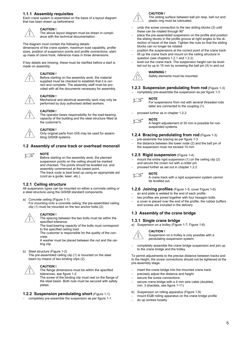#### **1.1.1 Assembly requisites**

Each crane system is assembled on the basis of a layout diagram that has been drawn up beforehand.



#### **CAUTION !**

The above layout diagram must be drawn in compliance with the technical documentation.

The diagram must contain the following details:

dimensions of the crane system, maximum load capability, profile sizes, position of suspension points and profile connections, startup mass of crane hook, reference mass in three dimensions.

If key details are missing, these must be clarified before a start is made on assembly.



#### **CAUTION !**

Before starting on the assembly work, the material supplied must be checked to establish that it is correct and complete. The assembly staff must be provided with all the documents necessary for assembly.



#### **CAUTION !**

Mechanical and electrical assembly work may only be performed by duly authorised skilled workers.



#### **CAUTION !**

The operator bears responsibility for the load-bearing capacity of the building and the steel structure fitted at the customer's.



#### **CAUTION !**

Only original parts from GIS may be used for assembling GIS*KB* systems.

#### **1.2 Assembly of crane track or overhead monorail**



#### **NOTE**

Before starting on the assembly work, the planned suspension points on the ceiling should be marked and checked. The points should be levelled out, and assembly commenced at the lowest point. The track route is best lined up using an appropriate aid (cord as a guide, laser, etc.).

#### **1.2.1 Ceiling structure**

All suspension types can be mounted on either a concrete ceiling or a steel structure using the GIS*KB* standard components.

- a) Concrete ceiling (Figure 1-1)
	- For mounting onto a concrete ceiling, the pre-assembled ceiling clip (1) must be mounted on the two anchor bolts (2).



#### **CAUTION !**

The spacing between the two bolts must be within the specified tolerance.

The load-bearing capacity of the bolts must correspond to the specified ceiling load.

The customer is responsible for the quality of the concrete.

A washer must be placed between the nut and the ceiling clip.

b) Steel structure (Figure 1-2)

The pre-assembled ceiling clip (1) is mounted on the steel beam by means of two binding clips (2).



**CAUTION !**

The flange dimensions must be within the specified tolerances, see figure 1-2.

The screw of the binding clip must rest on the flange of the steel beam. Both nuts must be secured with safety plates.

#### **1.2.2 Suspension pendulating short** (Figure 1-1)

completely pre-assemble the suspension as per figure 1-1



#### **CAUTION !**

The sliding surface between ball pin resp. ball nut and plastic ring must be lubricated.

- undo the screw connection to the two sliding blocks (3) until these can be rotated through 90°
- − place the pre-assembled suspension on the profile and position the sliding blocks in the profile groove at right angles to the direction of travel of the track. Tighten the nuts so that the sliding blocks can no longer be rotated
- position the suspensions at the correct point of the crane track
- lift up the crane track and mount on the ceiling structure in question (see chapters 1.2.1 and 1.2.2)
- − level out the crane track. The suspension height can be levelled out by up to 15 mm by screwing the ball pin (4) in and out



#### **WARNING !**  Safety elements must be mounted.

#### **1.2.3 Suspension pendulating from rod** (Figure 1-3)

completely pre-assemble the suspension as per figure 1-3

#### ৰ τ

For suspensions from rod with several threaded rods latter are connected to the coupling (1).

− proceed further as in chapter 1.2.2 **NOTE** 

**NOTE** 



A height adjustement of 30 mm is possible for rodsuspended systems.

#### **1.2.4 Bracing pendulating from rod** (Figure 1-3)

- pre-assemble the bracing as per figure 1-3
- the distance between the lower node (2) and the ball pin of the suspension must not exceed 10 mm

#### **1.2.5 Rigid suspension** (Figure 1-4)

- mount the entire rigid suspension (1) on the ceiling clip (2) and secure the crown nut with a cotter pin
- − proceed further as set out in chapter 1.2.2



A crane track with a rigid suspension system cannot be levelled out.

#### **1.2.6 Joining profiles** (Figure 1-5; cover Figure 1-6)

- an end plate is welded to the end of each profile
- two profiles are joined together with four hexagon bolts
- a cover is placed over the end of the profile; the rubber buffers and screws are included in the delivery

#### **1.3 Assembly of the crane bridge**

#### **1.3.1 Single crane bridge**

a) Suspension on a trolley (Figure 1-7; Figure 1-8)



#### **CAUTION !**

Suspension on a trolley is only possible with a pendulating suspension system.

completely assemble the crane bridge suspension and join up to the crane bridge and the trolley

To permit adjustments to the precise distance between tracks and to the height, the screw connections should not be tightened at the pre-assembly stage.

- insert the crane bridge into the mounted crane track
- precisely adjust the distance and height
- secure the screw connections
- secure crane bridge with a 4 mm wire cable (doubled, min. 3 shackles, see figure 1-11)
- b) Suspension on rolling apparatus (Figure 1-9)
- mount EQB rolling apparatus on the crane bridge profile
- − do up screws loosely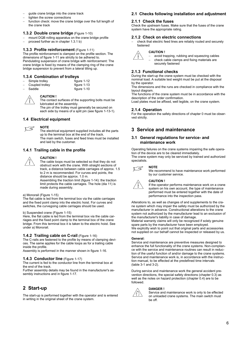- − guide crane bridge into the crane track
- tighten the screw connections
- function check: move the crane bridge over the full length of the crane track

#### **1.3.2 Double crane bridge** (Figure 1-10)

- mount DQB rolling apparatus on the crane bridge profile
- proceed further as in chapter 1.3.1 b)

#### **1.3.3 Profile reinforcement** (Figure 1-11)

The profile reinforcement is clamped on the profile section. The dimensions of figure 1-11 are strictly to be adhered to. Pendulating suspension of crane bridge with reinforcement: The crane bridge is fixed by means of the clamping ring of the crane bridge suspension to prevent from a lateral tilting up.

## **1.3.4 Combination of trolleys**<br>- Simple trolley **11.9 Follow** figure 1-12

- Simple trolley
- − Coupled trolley figure 1-13 figure 1-10

#### **CAUTION !**

The contact surfaces of the supporting bolts must be lubricated at the assembly. The pin of the trolley must generally be secured on each side by means of a split pin (see figure 1-13-1).

#### **1.4 Electrical equipment**

#### **NOTE**   $\sqrt{5}$

The electrical equipment supplied includes all the parts up to the terminal box at the end of the track. The main switch, fuses and feed lines must be installed and laid by the customer.

#### **1.4.1 Trailing cable in the profile**



#### **CAUTION !**

The cable loops must be selected so that they do not obstruct work with the crane. With straight sections of track, a distance between cable carriages of approx. 1.5 to 2 m is recommended. For curves and points, the distance should be approx. 1.0 m.

Assembling the traction limit (figure 1-14): the traction limit protects the cable carriages. The hole (dia 11) is made during assembly.

#### a) Monorail (Figure 1-15)

The flat cable is led from the terminal box via the cable carriages and the fixed point clamp into the electric hoist. For curves and switches, the curvegoing cable carriages should be used.

#### b) Suspended crane (Figure 1-15)

Here, the flat cable is led from the terminal box via the cable carriages and the fixed point clamp to the terminal box of the crane bridge. From this terminal box it is taken to the electric hoist. See under a) Monorail.

#### **1.4.2 Trailing cable on C-rail** (Figure 1-16)

The C-rails are fastened to the profile by means of clamping devices. The same applies for the cable loops as for a trailing cable inside the profile.

Assembly is performed in the manner shown in figure 1-16.

#### **1.4.3 Conductor line** (Figure 1-17)

The current is fed to the conductor line from the terminal box at the end of the track.

Further assembly details may be found in the manufacturer's assembly instructions and in figure 1-17.

### **2 Start-up**

The start-up is performed together with the operator and is entered in writing in the original sheet of the crane system.

#### **2.1 Checks following installation and adjustment**

#### **2.1.1 Check the fuses**

Check the upstream fuses. Make sure that the fuses of the crane system have the appropriate rating.

#### **2.1.2 Check on electric connections**

check that electric feed lines are reliably routed and securely fastened

#### **CAUTION !**

− avoid trapping, rubbing and squeezing cables check cable clamps and fixing materials are securely fastened

#### **2.1.3 Functional checks**

During the start-up the crane system must be checked with the nominal load. A suitable test weight must be put at the disposal by the operator.

The dimensions and the runs are checked in compliance with the layout diagram.

The functions of the crane system must be in accordance with the description of the order confirmation.

Load plates must be affixed, well legible, on the crane system.

#### **2.1.4 Operation**

For the operation the safety directions of chapter 0 must be observed strictly.

### **3 Service and maintenance**

#### **3.1 General regulations for service- and maintenance work**

Operating failures on the crane systems impairing the safe operation of the device are to be cleared immediately.

The crane system may only be serviced by trained and authorized specialists.



We recommend to have maintenance work performed by our customer service.

#### **CAUTION !**



If the operator performs maintenance work on a crane system on his own account, the type of maintenance performed must be entered together with the date of performance into the inspection pass.

Alterations to, as well as changes of and supplements to the crane system which may impair the safety must be authorized by the manufacturer in advance. Constructional alterations to the crane system not authorized by the manufacturer lead to an exclusion of the manufacturer's liability in case of damage.

Material warranty claims will only be recognized if solely genuine spare parts by the manufacturer have been employed. We explicitly wish to point out that original parts and accessories not supplied on our behalf cannot be inspected or released by us.

#### **General:**

Service and maintenance are preventive measures designed to enhance the full functionality of the crane systems. Non-compliance with the service and maintenance routines can result in reduction of the useful function of and/or damage to the crane systems. Service and maintenance work is, in accordance with the instruction manual, to be effected at the predefined time intervals (table 3-1 and 3-2).

During service and maintenance work the general accident prevention directions, the special safety directions (chapter 0.3) as well as the notes on hazard protection (chapter 0.4) are to be followed.



#### **DANGER !**

Service and maintenance work is only to be effected on unloaded crane systems. The main switch must be off.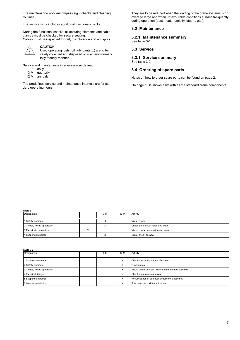The maintenance work encompass sight checks and cleaning routines.

The service work includes additional functional checks.

During the functional checks, all securing elements and cable clamps must be checked for secure seating.

Cables must be inspected for dirt, discoloration and arc spots.



### **CAUTION !**

Used operating fuels (oil, lubricants ...) are to be safely collected and disposed of in an environmentally friendly manner.

Service and maintenance intervals are so defined:

- t: daily
- 3 M: quarterly
- 12 M: annualy

The predefined service and maintenance intervals are for standard operating hours.

They are to be reduced when the loading of the crane systems is on average large and when unfavourable conditions surface fre-quently during operation (dust, heat, humidity, steam, etc.).

#### **3.2 Maintenance**

**3.2.1 Maintenance summary**  See table 3-1

#### **3.3 Service**

**3.3.1 Service summary**  See table 3-2

#### **3.4 Ordering of spare parts**

Notes on how to order spare parts can be found on page 2.

On page 10 is shown a list with all the standard crane components.

| m<br>ĸ<br>н |  |
|-------------|--|
|             |  |

| Table 3-1                    |           |     |      |                                   |  |
|------------------------------|-----------|-----|------|-----------------------------------|--|
| Designation                  |           | 3 M | 12 M | Activity                          |  |
| 1 Safety elements            |           | ⌒   |      | Visual check                      |  |
| 2 Trolley, rolling apparatus |           |     |      | Check on unusual noise and wear   |  |
| 3 Electrical connections     | $\lambda$ |     |      | Visual check on abrasion and wear |  |
| 4 Suspension points          |           |     |      | Visual check on wear              |  |

| Table 3-2                    |  |     |                   |                                                       |  |
|------------------------------|--|-----|-------------------|-------------------------------------------------------|--|
| Designation                  |  | 3 M | 12 M              | Activity                                              |  |
| Screw connections            |  |     | X                 | Check on starting torque of screws                    |  |
| 2 Safety elements            |  |     | X                 | <b>Function test</b>                                  |  |
| 3 Trolley, rolling apparatus |  |     | X                 | Visual check on wear, lubrication of contact surfaces |  |
| 4 Electrical fittings        |  |     | $\checkmark$<br>⋏ | Check on abrasion and wear                            |  |
| 5 Suspension points          |  |     | $\checkmark$<br>⋏ | Re-lubrication of contact surfaces on plastic ring    |  |
| 6 Load of installation       |  |     |                   | Function check with nominal load                      |  |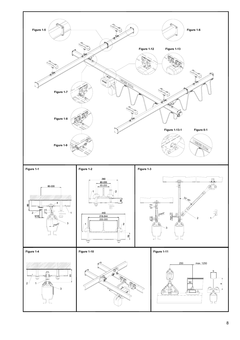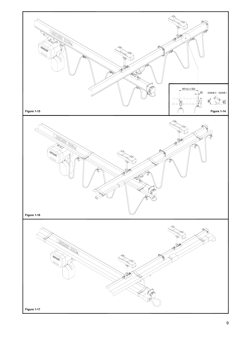